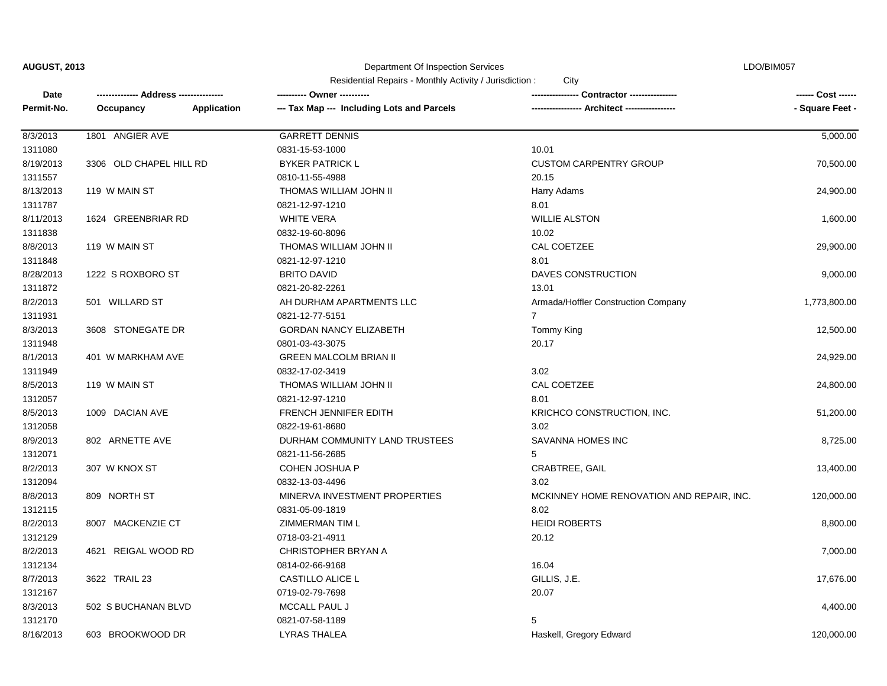## Department Of Inspection Services

LDO/BIM057

| Date       |                         |             | ---------- Owner ----------                |                                           | ------ Cost ------ |
|------------|-------------------------|-------------|--------------------------------------------|-------------------------------------------|--------------------|
| Permit-No. | Occupancy               | Application | --- Tax Map --- Including Lots and Parcels | - Architect -----------------             | - Square Feet -    |
|            |                         |             |                                            |                                           |                    |
| 8/3/2013   | 1801 ANGIER AVE         |             | <b>GARRETT DENNIS</b>                      |                                           | 5,000.00           |
| 1311080    |                         |             | 0831-15-53-1000                            | 10.01                                     |                    |
| 8/19/2013  | 3306 OLD CHAPEL HILL RD |             | <b>BYKER PATRICK L</b>                     | <b>CUSTOM CARPENTRY GROUP</b>             | 70,500.00          |
| 1311557    |                         |             | 0810-11-55-4988                            | 20.15                                     |                    |
| 8/13/2013  | 119 W MAIN ST           |             | THOMAS WILLIAM JOHN II                     | Harry Adams                               | 24,900.00          |
| 1311787    |                         |             | 0821-12-97-1210                            | 8.01                                      |                    |
| 8/11/2013  | 1624 GREENBRIAR RD      |             | <b>WHITE VERA</b>                          | <b>WILLIE ALSTON</b>                      | 1,600.00           |
| 1311838    |                         |             | 0832-19-60-8096                            | 10.02                                     |                    |
| 8/8/2013   | 119 W MAIN ST           |             | THOMAS WILLIAM JOHN II                     | CAL COETZEE                               | 29,900.00          |
| 1311848    |                         |             | 0821-12-97-1210                            | 8.01                                      |                    |
| 8/28/2013  | 1222 S ROXBORO ST       |             | <b>BRITO DAVID</b>                         | DAVES CONSTRUCTION                        | 9,000.00           |
| 1311872    |                         |             | 0821-20-82-2261                            | 13.01                                     |                    |
| 8/2/2013   | 501 WILLARD ST          |             | AH DURHAM APARTMENTS LLC                   | Armada/Hoffler Construction Company       | 1,773,800.00       |
| 1311931    |                         |             | 0821-12-77-5151                            | $\overline{7}$                            |                    |
| 8/3/2013   | 3608 STONEGATE DR       |             | <b>GORDAN NANCY ELIZABETH</b>              | Tommy King                                | 12,500.00          |
| 1311948    |                         |             | 0801-03-43-3075                            | 20.17                                     |                    |
| 8/1/2013   | 401 W MARKHAM AVE       |             | <b>GREEN MALCOLM BRIAN II</b>              |                                           | 24,929.00          |
| 1311949    |                         |             | 0832-17-02-3419                            | 3.02                                      |                    |
| 8/5/2013   | 119 W MAIN ST           |             | THOMAS WILLIAM JOHN II                     | CAL COETZEE                               | 24,800.00          |
| 1312057    |                         |             | 0821-12-97-1210                            | 8.01                                      |                    |
| 8/5/2013   | 1009 DACIAN AVE         |             | FRENCH JENNIFER EDITH                      | KRICHCO CONSTRUCTION, INC.                | 51,200.00          |
| 1312058    |                         |             | 0822-19-61-8680                            | 3.02                                      |                    |
| 8/9/2013   | 802 ARNETTE AVE         |             | DURHAM COMMUNITY LAND TRUSTEES             | SAVANNA HOMES INC                         | 8,725.00           |
| 1312071    |                         |             | 0821-11-56-2685                            | 5                                         |                    |
| 8/2/2013   | 307 W KNOX ST           |             | <b>COHEN JOSHUA P</b>                      | <b>CRABTREE, GAIL</b>                     | 13,400.00          |
| 1312094    |                         |             | 0832-13-03-4496                            | 3.02                                      |                    |
| 8/8/2013   | 809 NORTH ST            |             | MINERVA INVESTMENT PROPERTIES              | MCKINNEY HOME RENOVATION AND REPAIR, INC. | 120,000.00         |
| 1312115    |                         |             | 0831-05-09-1819                            | 8.02                                      |                    |
| 8/2/2013   | 8007 MACKENZIE CT       |             | ZIMMERMAN TIM L                            | <b>HEIDI ROBERTS</b>                      | 8,800.00           |
| 1312129    |                         |             | 0718-03-21-4911                            | 20.12                                     |                    |
| 8/2/2013   |                         |             | CHRISTOPHER BRYAN A                        |                                           | 7,000.00           |
| 1312134    | 4621 REIGAL WOOD RD     |             | 0814-02-66-9168                            | 16.04                                     |                    |
| 8/7/2013   |                         |             | CASTILLO ALICE L                           | GILLIS, J.E.                              | 17,676.00          |
|            | 3622 TRAIL 23           |             | 0719-02-79-7698                            | 20.07                                     |                    |
| 1312167    |                         |             |                                            |                                           |                    |
| 8/3/2013   | 502 S BUCHANAN BLVD     |             | MCCALL PAUL J                              |                                           | 4,400.00           |
| 1312170    |                         |             | 0821-07-58-1189                            | 5                                         |                    |
| 8/16/2013  | 603 BROOKWOOD DR        |             | LYRAS THALEA                               | Haskell, Gregory Edward                   | 120,000.00         |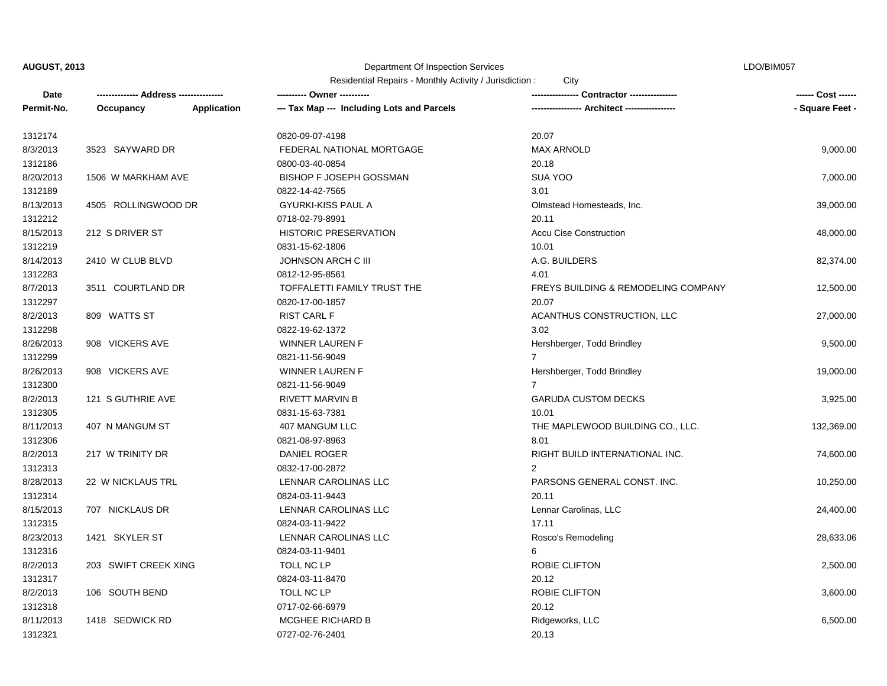#### Department Of Inspection Services

LDO/BIM057

| Date       |                      |             | ---------- Owner ----------                |                                                | ------ Cost ------ |
|------------|----------------------|-------------|--------------------------------------------|------------------------------------------------|--------------------|
| Permit-No. | Occupancy            | Application | --- Tax Map --- Including Lots and Parcels | --- Architect -----------------                | - Square Feet -    |
| 1312174    |                      |             | 0820-09-07-4198                            | 20.07                                          |                    |
| 8/3/2013   | 3523 SAYWARD DR      |             | FEDERAL NATIONAL MORTGAGE                  | <b>MAX ARNOLD</b>                              | 9,000.00           |
| 1312186    |                      |             | 0800-03-40-0854                            | 20.18                                          |                    |
| 8/20/2013  | 1506 W MARKHAM AVE   |             | <b>BISHOP F JOSEPH GOSSMAN</b>             | SUA YOO                                        | 7,000.00           |
| 1312189    |                      |             | 0822-14-42-7565                            | 3.01                                           |                    |
| 8/13/2013  | 4505 ROLLINGWOOD DR  |             | <b>GYURKI-KISS PAUL A</b>                  | Olmstead Homesteads, Inc.                      | 39,000.00          |
| 1312212    |                      |             | 0718-02-79-8991                            | 20.11                                          |                    |
| 8/15/2013  | 212 S DRIVER ST      |             | <b>HISTORIC PRESERVATION</b>               | <b>Accu Cise Construction</b>                  | 48,000.00          |
| 1312219    |                      |             | 0831-15-62-1806                            | 10.01                                          |                    |
| 8/14/2013  | 2410 W CLUB BLVD     |             | JOHNSON ARCH C III                         | A.G. BUILDERS                                  | 82,374.00          |
| 1312283    |                      |             | 0812-12-95-8561                            | 4.01                                           |                    |
| 8/7/2013   | 3511 COURTLAND DR    |             | TOFFALETTI FAMILY TRUST THE                | <b>FREYS BUILDING &amp; REMODELING COMPANY</b> | 12,500.00          |
| 1312297    |                      |             | 0820-17-00-1857                            | 20.07                                          |                    |
| 8/2/2013   | 809 WATTS ST         |             | <b>RIST CARL F</b>                         | ACANTHUS CONSTRUCTION, LLC                     | 27,000.00          |
| 1312298    |                      |             | 0822-19-62-1372                            | 3.02                                           |                    |
| 8/26/2013  | 908 VICKERS AVE      |             | WINNER LAUREN F                            | Hershberger, Todd Brindley                     | 9,500.00           |
| 1312299    |                      |             | 0821-11-56-9049                            | $\overline{7}$                                 |                    |
| 8/26/2013  | 908 VICKERS AVE      |             | WINNER LAUREN F                            | Hershberger, Todd Brindley                     | 19,000.00          |
| 1312300    |                      |             | 0821-11-56-9049                            | $\overline{7}$                                 |                    |
| 8/2/2013   | 121 S GUTHRIE AVE    |             | <b>RIVETT MARVIN B</b>                     | <b>GARUDA CUSTOM DECKS</b>                     | 3,925.00           |
| 1312305    |                      |             | 0831-15-63-7381                            | 10.01                                          |                    |
| 8/11/2013  | 407 N MANGUM ST      |             | 407 MANGUM LLC                             | THE MAPLEWOOD BUILDING CO., LLC.               | 132,369.00         |
| 1312306    |                      |             | 0821-08-97-8963                            | 8.01                                           |                    |
| 8/2/2013   | 217 W TRINITY DR     |             | DANIEL ROGER                               | RIGHT BUILD INTERNATIONAL INC.                 | 74,600.00          |
| 1312313    |                      |             | 0832-17-00-2872                            | $\overline{2}$                                 |                    |
| 8/28/2013  | 22 W NICKLAUS TRL    |             | LENNAR CAROLINAS LLC                       | PARSONS GENERAL CONST. INC.                    | 10,250.00          |
| 1312314    |                      |             | 0824-03-11-9443                            | 20.11                                          |                    |
| 8/15/2013  | 707 NICKLAUS DR      |             | LENNAR CAROLINAS LLC                       | Lennar Carolinas, LLC                          | 24,400.00          |
| 1312315    |                      |             | 0824-03-11-9422                            | 17.11                                          |                    |
| 8/23/2013  | 1421 SKYLER ST       |             | LENNAR CAROLINAS LLC                       | Rosco's Remodeling                             | 28,633.06          |
| 1312316    |                      |             | 0824-03-11-9401                            | 6                                              |                    |
| 8/2/2013   | 203 SWIFT CREEK XING |             | TOLL NC LP                                 | ROBIE CLIFTON                                  | 2,500.00           |
| 1312317    |                      |             | 0824-03-11-8470                            | 20.12                                          |                    |
| 8/2/2013   | 106 SOUTH BEND       |             | TOLL NC LP                                 | ROBIE CLIFTON                                  | 3,600.00           |
| 1312318    |                      |             | 0717-02-66-6979                            | 20.12                                          |                    |
| 8/11/2013  | 1418 SEDWICK RD      |             | MCGHEE RICHARD B                           | Ridgeworks, LLC                                | 6,500.00           |
| 1312321    |                      |             | 0727-02-76-2401                            | 20.13                                          |                    |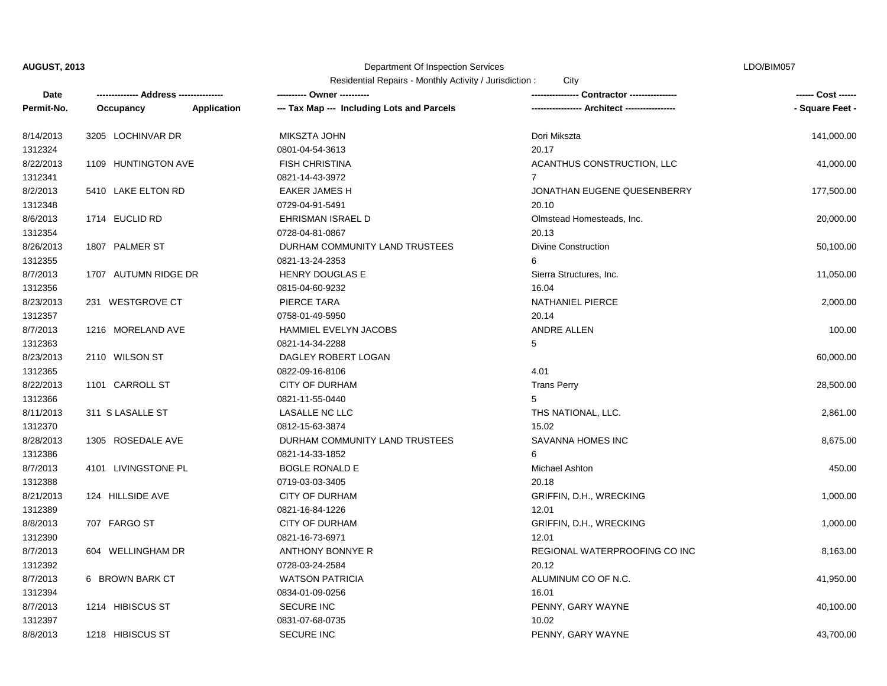1312397

#### Department Of Inspection Services

LDO/BIM057

Residential Repairs - Monthly Activity / Jurisdiction : City

| Date       |                      |                    | ---------- Owner ----------                | -- Contractor ---------------- | ------ Cost ------ |
|------------|----------------------|--------------------|--------------------------------------------|--------------------------------|--------------------|
| Permit-No. | Occupancy            | <b>Application</b> | --- Tax Map --- Including Lots and Parcels |                                | - Square Feet -    |
| 8/14/2013  | 3205 LOCHINVAR DR    |                    | MIKSZTA JOHN                               | Dori Mikszta                   | 141,000.00         |
| 1312324    |                      |                    | 0801-04-54-3613                            | 20.17                          |                    |
| 8/22/2013  | 1109 HUNTINGTON AVE  |                    | <b>FISH CHRISTINA</b>                      | ACANTHUS CONSTRUCTION, LLC     | 41,000.00          |
| 1312341    |                      |                    | 0821-14-43-3972                            | $\overline{7}$                 |                    |
| 8/2/2013   | 5410 LAKE ELTON RD   |                    | <b>EAKER JAMES H</b>                       | JONATHAN EUGENE QUESENBERRY    | 177,500.00         |
| 1312348    |                      |                    | 0729-04-91-5491                            | 20.10                          |                    |
| 8/6/2013   | 1714 EUCLID RD       |                    | EHRISMAN ISRAEL D                          | Olmstead Homesteads, Inc.      | 20,000.00          |
| 1312354    |                      |                    | 0728-04-81-0867                            | 20.13                          |                    |
| 8/26/2013  | 1807 PALMER ST       |                    | DURHAM COMMUNITY LAND TRUSTEES             | <b>Divine Construction</b>     | 50,100.00          |
| 1312355    |                      |                    | 0821-13-24-2353                            | 6                              |                    |
| 8/7/2013   | 1707 AUTUMN RIDGE DR |                    | <b>HENRY DOUGLAS E</b>                     | Sierra Structures, Inc.        | 11,050.00          |
| 1312356    |                      |                    | 0815-04-60-9232                            | 16.04                          |                    |
| 8/23/2013  | 231 WESTGROVE CT     |                    | PIERCE TARA                                | NATHANIEL PIERCE               | 2,000.00           |
| 1312357    |                      |                    | 0758-01-49-5950                            | 20.14                          |                    |
| 8/7/2013   | 1216 MORELAND AVE    |                    | HAMMIEL EVELYN JACOBS                      | <b>ANDRE ALLEN</b>             | 100.00             |
| 1312363    |                      |                    | 0821-14-34-2288                            | 5                              |                    |
| 8/23/2013  | 2110 WILSON ST       |                    | DAGLEY ROBERT LOGAN                        |                                | 60,000.00          |
| 1312365    |                      |                    | 0822-09-16-8106                            | 4.01                           |                    |
| 8/22/2013  | 1101 CARROLL ST      |                    | <b>CITY OF DURHAM</b>                      | <b>Trans Perry</b>             | 28,500.00          |
| 1312366    |                      |                    | 0821-11-55-0440                            | 5                              |                    |
| 8/11/2013  | 311 S LASALLE ST     |                    | LASALLE NC LLC                             | THS NATIONAL, LLC.             | 2,861.00           |
| 1312370    |                      |                    | 0812-15-63-3874                            | 15.02                          |                    |
| 8/28/2013  | 1305 ROSEDALE AVE    |                    | DURHAM COMMUNITY LAND TRUSTEES             | SAVANNA HOMES INC              | 8,675.00           |
| 1312386    |                      |                    | 0821-14-33-1852                            | 6                              |                    |
| 8/7/2013   | 4101 LIVINGSTONE PL  |                    | <b>BOGLE RONALD E</b>                      | Michael Ashton                 | 450.00             |
| 1312388    |                      |                    | 0719-03-03-3405                            | 20.18                          |                    |
| 8/21/2013  | 124 HILLSIDE AVE     |                    | <b>CITY OF DURHAM</b>                      | GRIFFIN, D.H., WRECKING        | 1,000.00           |
| 1312389    |                      |                    | 0821-16-84-1226                            | 12.01                          |                    |
| 8/8/2013   | 707 FARGO ST         |                    | <b>CITY OF DURHAM</b>                      | GRIFFIN, D.H., WRECKING        | 1,000.00           |
| 1312390    |                      |                    | 0821-16-73-6971                            | 12.01                          |                    |
| 8/7/2013   | 604 WELLINGHAM DR    |                    | ANTHONY BONNYE R                           | REGIONAL WATERPROOFING CO INC  | 8,163.00           |
| 1312392    |                      |                    | 0728-03-24-2584                            | 20.12                          |                    |
| 8/7/2013   | 6 BROWN BARK CT      |                    | <b>WATSON PATRICIA</b>                     | ALUMINUM CO OF N.C.            | 41,950.00          |
| 1312394    |                      |                    | 0834-01-09-0256                            | 16.01                          |                    |

0831-07-68-0735 10.02

8/7/2013 1214 HIBISCUS ST SECURE INC SECURE INC PENNY, GARY WAYNE 2011 214 HIBISCUS ST 40,100.00

8/8/2013 1218 HIBISCUS ST SECURE INC SECURE INC PENNY, GARY WAYNE A 3,700.00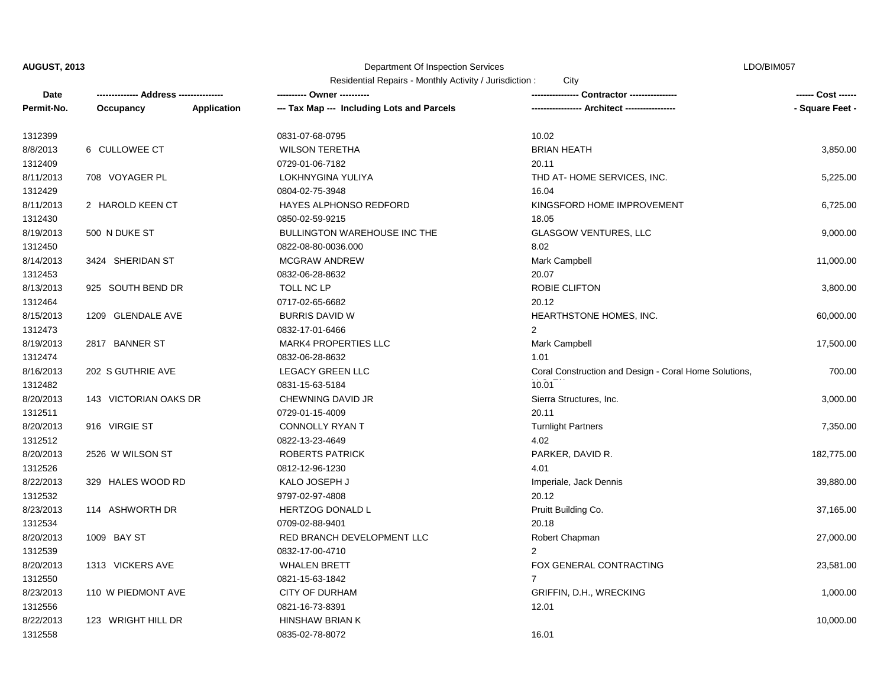### Department Of Inspection Services

LDO/BIM057

| Date       |                       |                    |                                            |                                                       | ------ Cost ------ |
|------------|-----------------------|--------------------|--------------------------------------------|-------------------------------------------------------|--------------------|
| Permit-No. | Occupancy             | <b>Application</b> | --- Tax Map --- Including Lots and Parcels | --- Architect -------------                           | - Square Feet -    |
| 1312399    |                       |                    | 0831-07-68-0795                            | 10.02                                                 |                    |
| 8/8/2013   | 6 CULLOWEE CT         |                    | <b>WILSON TERETHA</b>                      | <b>BRIAN HEATH</b>                                    | 3,850.00           |
| 1312409    |                       |                    | 0729-01-06-7182                            | 20.11                                                 |                    |
| 8/11/2013  | 708 VOYAGER PL        |                    | LOKHNYGINA YULIYA                          | THD AT-HOME SERVICES, INC.                            | 5,225.00           |
| 1312429    |                       |                    | 0804-02-75-3948                            | 16.04                                                 |                    |
| 8/11/2013  | 2 HAROLD KEEN CT      |                    | HAYES ALPHONSO REDFORD                     | KINGSFORD HOME IMPROVEMENT                            | 6,725.00           |
| 1312430    |                       |                    | 0850-02-59-9215                            | 18.05                                                 |                    |
| 8/19/2013  | 500 N DUKE ST         |                    | <b>BULLINGTON WAREHOUSE INC THE</b>        | <b>GLASGOW VENTURES, LLC</b>                          | 9,000.00           |
| 1312450    |                       |                    | 0822-08-80-0036.000                        | 8.02                                                  |                    |
| 8/14/2013  | 3424 SHERIDAN ST      |                    | <b>MCGRAW ANDREW</b>                       | Mark Campbell                                         | 11,000.00          |
| 1312453    |                       |                    | 0832-06-28-8632                            | 20.07                                                 |                    |
| 8/13/2013  | 925 SOUTH BEND DR     |                    | TOLL NC LP                                 | <b>ROBIE CLIFTON</b>                                  | 3,800.00           |
| 1312464    |                       |                    | 0717-02-65-6682                            | 20.12                                                 |                    |
| 8/15/2013  | 1209 GLENDALE AVE     |                    | <b>BURRIS DAVID W</b>                      | HEARTHSTONE HOMES, INC.                               | 60,000.00          |
| 1312473    |                       |                    | 0832-17-01-6466                            | $\overline{2}$                                        |                    |
| 8/19/2013  | 2817 BANNER ST        |                    | <b>MARK4 PROPERTIES LLC</b>                | Mark Campbell                                         | 17,500.00          |
| 1312474    |                       |                    | 0832-06-28-8632                            | 1.01                                                  |                    |
| 8/16/2013  | 202 S GUTHRIE AVE     |                    | <b>LEGACY GREEN LLC</b>                    | Coral Construction and Design - Coral Home Solutions, | 700.00             |
| 1312482    |                       |                    | 0831-15-63-5184                            | 10.01                                                 |                    |
| 8/20/2013  | 143 VICTORIAN OAKS DR |                    | CHEWNING DAVID JR                          | Sierra Structures, Inc.                               | 3,000.00           |
| 1312511    |                       |                    | 0729-01-15-4009                            | 20.11                                                 |                    |
| 8/20/2013  | 916 VIRGIE ST         |                    | <b>CONNOLLY RYAN T</b>                     | <b>Turnlight Partners</b>                             | 7,350.00           |
| 1312512    |                       |                    | 0822-13-23-4649                            | 4.02                                                  |                    |
| 8/20/2013  | 2526 W WILSON ST      |                    | ROBERTS PATRICK                            | PARKER, DAVID R.                                      | 182,775.00         |
| 1312526    |                       |                    | 0812-12-96-1230                            | 4.01                                                  |                    |
| 8/22/2013  | 329 HALES WOOD RD     |                    | KALO JOSEPH J                              | Imperiale, Jack Dennis                                | 39,880.00          |
| 1312532    |                       |                    | 9797-02-97-4808                            | 20.12                                                 |                    |
| 8/23/2013  | 114 ASHWORTH DR       |                    | HERTZOG DONALD L                           | Pruitt Building Co.                                   | 37,165.00          |
| 1312534    |                       |                    | 0709-02-88-9401                            | 20.18                                                 |                    |
| 8/20/2013  | 1009 BAY ST           |                    | RED BRANCH DEVELOPMENT LLC                 | Robert Chapman                                        | 27,000.00          |
| 1312539    |                       |                    | 0832-17-00-4710                            | $\mathcal{P}$                                         |                    |
| 8/20/2013  | 1313 VICKERS AVE      |                    | <b>WHALEN BRETT</b>                        | FOX GENERAL CONTRACTING                               | 23,581.00          |
| 1312550    |                       |                    | 0821-15-63-1842                            | $\overline{7}$                                        |                    |
| 8/23/2013  | 110 W PIEDMONT AVE    |                    | <b>CITY OF DURHAM</b>                      | GRIFFIN, D.H., WRECKING                               | 1,000.00           |
| 1312556    |                       |                    | 0821-16-73-8391                            | 12.01                                                 |                    |
| 8/22/2013  | 123 WRIGHT HILL DR    |                    | <b>HINSHAW BRIAN K</b>                     |                                                       | 10,000.00          |
| 1312558    |                       |                    | 0835-02-78-8072                            | 16.01                                                 |                    |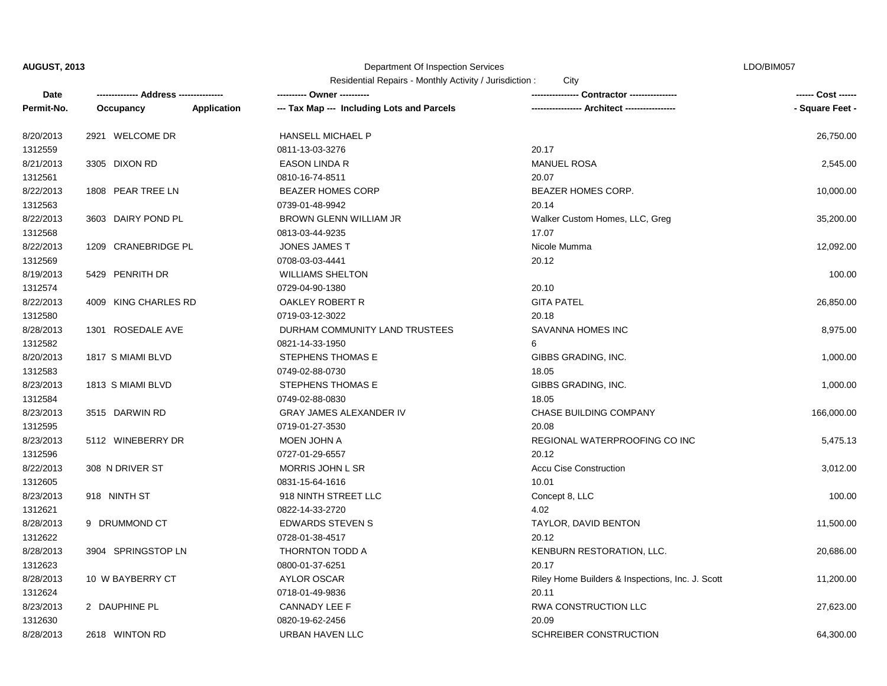# Department Of Inspection Services

LDO/BIM057

| Residential Repairs - Monthly Activity / Jurisdiction : |  |  | City |
|---------------------------------------------------------|--|--|------|
|---------------------------------------------------------|--|--|------|

| Date       |                      |                    | ---------- Owner ----------                |                                                  | ------ Cost ------ |
|------------|----------------------|--------------------|--------------------------------------------|--------------------------------------------------|--------------------|
| Permit-No. | Occupancy            | <b>Application</b> | --- Tax Map --- Including Lots and Parcels | --- Architect -----------------                  | - Square Feet -    |
| 8/20/2013  | 2921 WELCOME DR      |                    | <b>HANSELL MICHAEL P</b>                   |                                                  | 26,750.00          |
| 1312559    |                      |                    | 0811-13-03-3276                            | 20.17                                            |                    |
| 8/21/2013  | 3305 DIXON RD        |                    | EASON LINDA R                              | <b>MANUEL ROSA</b>                               | 2,545.00           |
| 1312561    |                      |                    | 0810-16-74-8511                            | 20.07                                            |                    |
| 8/22/2013  | 1808 PEAR TREE LN    |                    | <b>BEAZER HOMES CORP</b>                   | BEAZER HOMES CORP.                               | 10,000.00          |
| 1312563    |                      |                    | 0739-01-48-9942                            | 20.14                                            |                    |
| 8/22/2013  | 3603 DAIRY POND PL   |                    | BROWN GLENN WILLIAM JR                     | Walker Custom Homes, LLC, Greg                   | 35,200.00          |
| 1312568    |                      |                    | 0813-03-44-9235                            | 17.07                                            |                    |
| 8/22/2013  | 1209 CRANEBRIDGE PL  |                    | <b>JONES JAMES T</b>                       | Nicole Mumma                                     | 12,092.00          |
| 1312569    |                      |                    | 0708-03-03-4441                            | 20.12                                            |                    |
| 8/19/2013  | 5429 PENRITH DR      |                    | <b>WILLIAMS SHELTON</b>                    |                                                  | 100.00             |
| 1312574    |                      |                    | 0729-04-90-1380                            | 20.10                                            |                    |
| 8/22/2013  | 4009 KING CHARLES RD |                    | OAKLEY ROBERT R                            | <b>GITA PATEL</b>                                | 26,850.00          |
| 1312580    |                      |                    | 0719-03-12-3022                            | 20.18                                            |                    |
| 8/28/2013  | 1301 ROSEDALE AVE    |                    | DURHAM COMMUNITY LAND TRUSTEES             | SAVANNA HOMES INC                                | 8,975.00           |
| 1312582    |                      |                    | 0821-14-33-1950                            | 6                                                |                    |
| 8/20/2013  | 1817 S MIAMI BLVD    |                    | STEPHENS THOMAS E                          | GIBBS GRADING, INC.                              | 1,000.00           |
| 1312583    |                      |                    | 0749-02-88-0730                            | 18.05                                            |                    |
| 8/23/2013  | 1813 S MIAMI BLVD    |                    | STEPHENS THOMAS E                          | GIBBS GRADING, INC.                              | 1,000.00           |
| 1312584    |                      |                    | 0749-02-88-0830                            | 18.05                                            |                    |
| 8/23/2013  | 3515 DARWIN RD       |                    | <b>GRAY JAMES ALEXANDER IV</b>             | CHASE BUILDING COMPANY                           | 166,000.00         |
| 1312595    |                      |                    | 0719-01-27-3530                            | 20.08                                            |                    |
| 8/23/2013  | 5112 WINEBERRY DR    |                    | MOEN JOHN A                                | REGIONAL WATERPROOFING CO INC                    | 5,475.13           |
| 1312596    |                      |                    | 0727-01-29-6557                            | 20.12                                            |                    |
| 8/22/2013  | 308 N DRIVER ST      |                    | <b>MORRIS JOHN L SR</b>                    | <b>Accu Cise Construction</b>                    | 3,012.00           |
| 1312605    |                      |                    | 0831-15-64-1616                            | 10.01                                            |                    |
| 8/23/2013  | 918 NINTH ST         |                    | 918 NINTH STREET LLC                       | Concept 8, LLC                                   | 100.00             |
| 1312621    |                      |                    | 0822-14-33-2720                            | 4.02                                             |                    |
| 8/28/2013  | 9 DRUMMOND CT        |                    | <b>EDWARDS STEVEN S</b>                    | TAYLOR, DAVID BENTON                             | 11,500.00          |
| 1312622    |                      |                    | 0728-01-38-4517                            | 20.12                                            |                    |
| 8/28/2013  | 3904 SPRINGSTOP LN   |                    | THORNTON TODD A                            | KENBURN RESTORATION, LLC.                        | 20,686.00          |
| 1312623    |                      |                    | 0800-01-37-6251                            | 20.17                                            |                    |
| 8/28/2013  | 10 W BAYBERRY CT     |                    | <b>AYLOR OSCAR</b>                         | Riley Home Builders & Inspections, Inc. J. Scott | 11,200.00          |
| 1312624    |                      |                    | 0718-01-49-9836                            | 20.11                                            |                    |
| 8/23/2013  | 2 DAUPHINE PL        |                    | CANNADY LEE F                              | RWA CONSTRUCTION LLC                             | 27,623.00          |
| 1312630    |                      |                    | 0820-19-62-2456                            | 20.09                                            |                    |
| 8/28/2013  | 2618 WINTON RD       |                    | URBAN HAVEN LLC                            | SCHREIBER CONSTRUCTION                           | 64,300.00          |